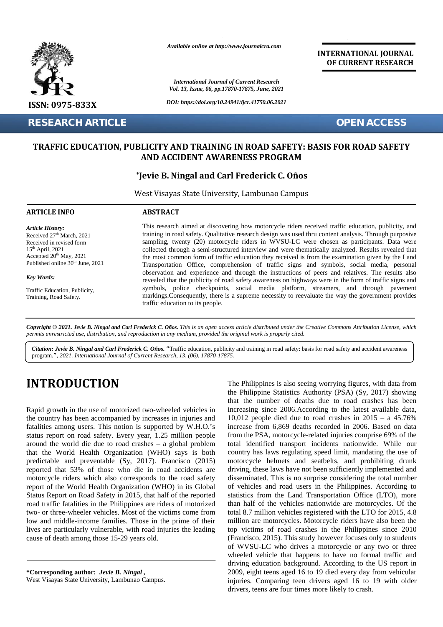

**RESEARCH ARTICLE OPEN ACCESS**

*Available online at http://www.journalcra.com*

*International Journal of Current Research Vol. 13, Issue, 06, pp.17870-17875, June, 2021*

*DOI: https://doi.org/10.24941/ijcr.41750.06.2021*

**INTERNATIONAL JOURNAL OF CURRENT RESEARCH**

# TRAFFIC EDUCATION, PUBLICITY AND TRAINING IN ROAD SAFETY: BASIS FOR ROAD SAFETY<br>AND ACCIDENT AWARENESS PROGRAM<br>Jevie B. Ningal and Carl Frederick C. Oños\* **AND ACCIDENT AWARENESS PROGRAM**

#### **\*Jevie B. Ningal and Carl Frederick C. Oños**

| <b>RESEARCH ARTICLE</b>                                                                                                                                                                         | <b>OPEN ACCESS</b>                                                                                                                                                                                                                                                                                                                                                                                                                                                                                                                                                                                                  |
|-------------------------------------------------------------------------------------------------------------------------------------------------------------------------------------------------|---------------------------------------------------------------------------------------------------------------------------------------------------------------------------------------------------------------------------------------------------------------------------------------------------------------------------------------------------------------------------------------------------------------------------------------------------------------------------------------------------------------------------------------------------------------------------------------------------------------------|
|                                                                                                                                                                                                 | <b>TRAFFIC EDUCATION, PUBLICITY AND TRAINING IN ROAD SAFETY: BASIS FOR ROAD SAFETY</b><br>AND ACCIDENT AWARENESS PROGRAM                                                                                                                                                                                                                                                                                                                                                                                                                                                                                            |
|                                                                                                                                                                                                 | *Jevie B. Ningal and Carl Frederick C. Oños                                                                                                                                                                                                                                                                                                                                                                                                                                                                                                                                                                         |
|                                                                                                                                                                                                 | West Visayas State University, Lambunao Campus                                                                                                                                                                                                                                                                                                                                                                                                                                                                                                                                                                      |
| <b>ARTICLE INFO</b>                                                                                                                                                                             | <b>ABSTRACT</b>                                                                                                                                                                                                                                                                                                                                                                                                                                                                                                                                                                                                     |
| <b>Article History:</b><br>Received 27 <sup>th</sup> March, 2021<br>Received in revised form<br>$15th$ April, 2021<br>Accepted $20th$ May, 2021<br>Published online 30 <sup>th</sup> June, 2021 | This research aimed at discovering how motorcycle riders received traffic education, publicity, and<br>training in road safety. Qualitative research design was used thru content analysis. Through purposive<br>sampling, twenty (20) motorcycle riders in WVSU-LC were chosen as participants. Data were<br>collected through a semi-structured interview and were thematically analyzed. Results revealed that<br>the most common form of traffic education they received is from the examination given by the Land<br>Transportation Office, comprehension of traffic signs and symbols, social media, personal |
| <b>Key Words:</b>                                                                                                                                                                               | observation and experience and through the instructions of peers and relatives. The results also<br>revealed that the publicity of road safety awareness on highways were in the form of traffic signs and                                                                                                                                                                                                                                                                                                                                                                                                          |
| Traffic Education, Publicity,<br>Training, Road Safety.                                                                                                                                         | symbols, police checkpoints, social media platform, streamers, and through pavement<br>markings. Consequently, there is a supreme necessity to reevaluate the way the government provides<br>traffic education to its people.                                                                                                                                                                                                                                                                                                                                                                                       |

Copyright © 2021. Jevie B. Ningal and Carl Frederick C. Oños. This is an open access article distributed under the Creative Commons Attribution License, which **Copyright © 2021. Jevie B. Ningal and Carl Frederick C. Oños.** This is an open access article distributed under the Creative<br>permits unrestricted use, distribution, and reproduction in any medium, provided the original wo

Citation: Jevie B. Ningal and Carl Frederick C. Oños. "Traffic education, publicity and training in road safety: basis for road safety and accident awareness program.*", 2021. International Journal of Current Research, 13, (06), 17870-17875. International Journal* 

# **INTRODUCTION INTRODUCTION**

Rapid growth in the use of motorized two-wheeled vehicles in Rapid growth in the use of motorized two-wheeled vehicles in increases in injuries and 10,0 fatalities among users. This notion is supported by W.H.O.'s inc status report on road safety. Every year, 1.25 million people around the world die due to road crashes – a global problem that the World Health Organization (WHO) says is both predictable and preventable (Sy, 2017). Francisco (2015) reported that 53% of those who die in road accidents are motorcycle riders which also corresponds to the road safety report of the World Health Organization (WHO) in its Global Status Report on Road Safety in 2015, that half of the reported road traffic fatalities in the Philippines are riders of motorized two- or three-wheeler vehicles. Most of the victims come from low and middle-income families. Those in the prime of their lives are particularly vulnerable, with road injuries the leading top<br>cause of death among those 15-29 years old. (Fran cause of death among those 15-29 years old. status report on road safety. Every year, 1.25 million people<br>fraction around the world die due to road crashes – a global problem<br>that the World Health Organization (WHO) says is both<br>predictable and preventable (Sy, 2017

**\*Corresponding author:** *Jevie B. Ningal ,* **\*Corresponding** *B. Ningal* West Visayas State University, Lambunao Campus.

The Philippines is also seeing worrying figures, with data from the Philippine Statistics Authority (PSA) (Sy, 2017) showing that the number of deaths due to road crashes has been increasing since 2006.According to the latest available data, 10,012 people died due to road crashes in 2015 – a 45.76% increase from 6,869 deaths recorded in 2006. Based on data from the PSA, motorcycle-related injuries comprise 69% of the total identified transport incidents nationwide. While our country has laws regulating speed limit, mandating the use of motorcycle helmets and seatbelts, and prohibiting drunk driving, these laws have not been sufficiently implemented and disseminated. This is no surprise considering the total number<br>of vehicles and road users in the Philippines. According to<br>statistics from the Land Transportation Office (LTO), more<br>than half of the vehicles nationwide are of vehicles and road users in the Philippines. According to statistics from the Land Transportation Office (LTO), more than half of the vehicles nationwide are motorcycles. Of the total 8.7 million vehicles registered with the LTO for 2015, 4.8 million are motorcycles. Motorcycle riders have also been the million are motorcycles. Motorcycle riders have also been the top victims of road crashes in the Philippines since 2010 (Francisco, 2015). This study however focuses only to students of WVSU-LC who drives a motorcycle or any two or three wheeled vehicle that happens to have no formal traffic and driving education background. According to the US report in 2009, eight teens aged 16 to 19 died every day from vehicular injuries. Comparing teen drivers aged 16 to 19 with older drivers, teens are four times more likely to crash. **INTRODUCTION**<br>The Philippines Statistics Authority (PSA) (By, 2017) showing<br>that from the number of destails constrained by increases in injuries and<br>increasing since 2006.According to the latest awiable data,<br>the conurt **FORTIGLE SECTION CONFIDENTIFY AND TRAINING IN EVALUATION CONFIDENT CONFIDENT CONFIDENT CONFIDENT CONFIDENT CONFIDENT CONFIDENT CONFIDENT CONFIDENT CONFIDENT CONFIDENT CONFIDENT CONFIDENT CONFIDENT CONFIDENT CONFIDENT CON** Fire R Ningal and Carl Fraderick C. Onios. Traffic eluction, publicity and training in road safety: basis for road safety and  $\mathbf{a}$ .", 2021. International bound of Current Research, 13, (06), 17870-17875.<br> **RODUCTION**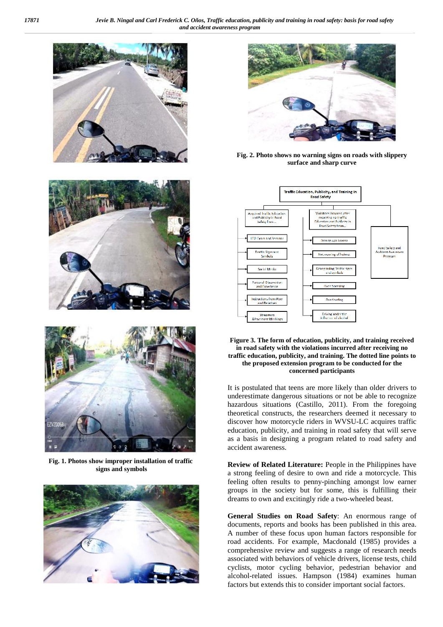





**Fig. 1. Photos show improper installation of traffic signs and symbols**





**Fig. 2. Photo shows no warning signs on roads with slippery surface and sharp curve**



#### **Figure 3. The form of education, publicity, and training received in road safety with the violations incurred after receiving no traffic education, publicity, and training. The dotted line points to the proposed extension program to be conducted for the concerned participants**

It is postulated that teens are more likely than older drivers to underestimate dangerous situations or not be able to recognize hazardous situations (Castillo, 2011). From the foregoing theoretical constructs, the researchers deemed it necessary to discover how motorcycle riders in WVSU-LC acquires traffic education, publicity, and training in road safety that will serve as a basis in designing a program related to road safety and accident awareness.

**Review of Related Literature:** People in the Philippines have a strong feeling of desire to own and ride a motorcycle. This feeling often results to penny-pinching amongst low earner groups in the society but for some, this is fulfilling their dreams to own and excitingly ride a two-wheeled beast.

**General Studies on Road Safety**: An enormous range of documents, reports and books has been published in this area. A number of these focus upon human factors responsible for road accidents. For example, Macdonald (1985) provides a comprehensive review and suggests a range of research needs associated with behaviors of vehicle drivers, license tests, child cyclists, motor cycling behavior, pedestrian behavior and alcohol-related issues. Hampson (1984) examines human factors but extends this to consider important social factors.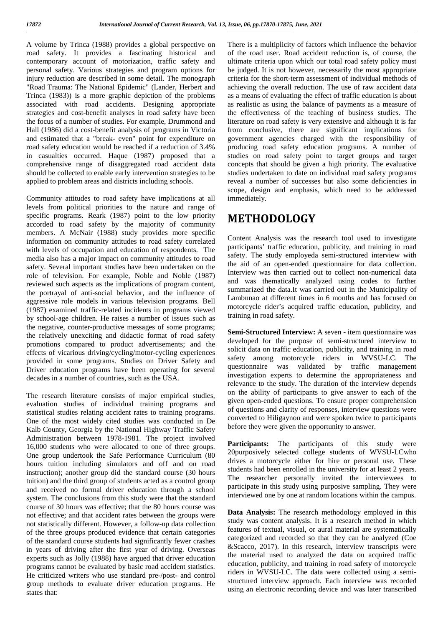A volume by Trinca (1988) provides a global perspective on road safety. It provides a fascinating historical and contemporary account of motorization, traffic safety and personal safety. Various strategies and program options for injury reduction are described in some detail. The monograph "Road Trauma: The National Epidemic" (Lander, Herbert and Trinca (1983)) is a more graphic depiction of the problems associated with road accidents. Designing appropriate strategies and cost-benefit analyses in road safety have been the focus of a number of studies. For example, Drummond and Hall (1986) did a cost-benefit analysis of programs in Victoria and estimated that a "break- even" point for expenditure on road safety education would be reached if a reduction of 3.4% in casualties occurred. Haque (1987) proposed that a comprehensive range of disaggregated road accident data should be collected to enable early intervention strategies to be applied to problem areas and districts including schools.

Community attitudes to road safety have implications at all levels from political priorities to the nature and range of specific programs. Reark (1987) point to the low priority accorded to road safety by the majority of community members. A McNair (1988) study provides more specific information on community attitudes to road safety correlated with levels of occupation and education of respondents. The media also has a major impact on community attitudes to road safety. Several important studies have been undertaken on the role of television. For example, Noble and Noble (1987) reviewed such aspects as the implications of program content, the portrayal of anti-social behavior, and the influence of aggressive role models in various television programs. Bell (1987) examined traffic-related incidents in programs viewed by school-age children. He raises a number of issues such as the negative, counter-productive messages of some programs; the relatively unexciting and didactic format of road safety promotions compared to product advertisements; and the effects of vicarious driving/cycling/motor-cycling experiences provided in some programs. Studies on Driver Safety and Driver education programs have been operating for several decades in a number of countries, such as the USA.

The research literature consists of major empirical studies, evaluation studies of individual training programs and statistical studies relating accident rates to training programs. One of the most widely cited studies was conducted in De Kalb County, Georgia by the National Highway Traffic Safety Administration between 1978-1981. The project involved 16,000 students who were allocated to one of three groups. One group undertook the Safe Performance Curriculum (80 hours tuition including simulators and off and on road instruction); another group did the standard course (30 hours tuition) and the third group of students acted as a control group and received no formal driver education through a school system. The conclusions from this study were that the standard course of 30 hours was effective; that the 80 hours course was not effective; and that accident rates between the groups were not statistically different. However, a follow-up data collection of the three groups produced evidence that certain categories of the standard course students had significantly fewer crashes in years of driving after the first year of driving. Overseas experts such as Jolly (1988) have argued that driver education programs cannot be evaluated by basic road accident statistics. He criticized writers who use standard pre-/post- and control group methods to evaluate driver education programs. He states that:

There is a multiplicity of factors which influence the behavior of the road user. Road accident reduction is, of course, the ultimate criteria upon which our total road safety policy must be judged. It is not however, necessarily the most appropriate criteria for the short-term assessment of individual methods of achieving the overall reduction. The use of raw accident data as a means of evaluating the effect of traffic education is about as realistic as using the balance of payments as a measure of the effectiveness of the teaching of business studies. The literature on road safety is very extensive and although it is far from conclusive, there are significant implications for government agencies charged with the responsibility of producing road safety education programs. A number of studies on road safety point to target groups and target concepts that should be given a high priority. The evaluative studies undertaken to date on individual road safety programs reveal a number of successes but also some deficiencies in scope, design and emphasis, which need to be addressed immediately.

# **METHODOLOGY**

Content Analysis was the research tool used to investigate participants' traffic education, publicity, and training in road safety. The study employeda semi-structured interview with the aid of an open-ended questionnaire for data collection. Interview was then carried out to collect non-numerical data and was thematically analyzed using codes to further summarized the data.It was carried out in the Municipality of Lambunao at different times in 6 months and has focused on motorcycle rider's acquired traffic education, publicity, and training in road safety.

**Semi-Structured Interview:** A seven - item questionnaire was developed for the purpose of semi-structured interview to solicit data on traffic education, publicity, and training in road safety among motorcycle riders in WVSU-LC. The questionnaire was validated by traffic management investigation experts to determine the appropriateness and relevance to the study. The duration of the interview depends on the ability of participants to give answer to each of the given open-ended questions. To ensure proper comprehension of questions and clarity of responses, interview questions were converted to Hiligaynon and were spoken twice to participants before they were given the opportunity to answer.

**Participants:** The participants of this study were 20purposively selected college students of WVSU-LCwho drives a motorcycle either for hire or personal use. These students had been enrolled in the university for at least 2 years. The researcher personally invited the interviewees to participate in this study using purposive sampling. They were interviewed one by one at random locations within the campus.

**Data Analysis:** The research methodology employed in this study was content analysis. It is a research method in which features of textual, visual, or aural material are systematically categorized and recorded so that they can be analyzed (Coe &Scacco, 2017). In this research, interview transcripts were the material used to analyzed the data on acquired traffic education, publicity, and training in road safety of motorcycle riders in WVSU-LC. The data were collected using a semi structured interview approach. Each interview was recorded using an electronic recording device and was later transcribed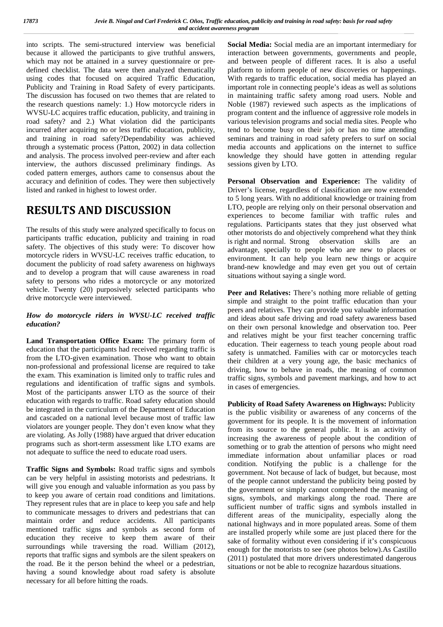into scripts. The semi-structured interview was beneficial because it allowed the participants to give truthful answers, which may not be attained in a survey questionnaire or pre defined checklist. The data were then analyzed thematically using codes that focused on acquired Traffic Education, Publicity and Training in Road Safety of every participants. The discussion has focused on two themes that are related to the research questions namely: 1.) How motorcycle riders in WVSU-LC acquires traffic education, publicity, and training in road safety? and 2.) What violation did the participants incurred after acquiring no or less traffic education, publicity, and training in road safety?Dependability was achieved through a systematic process (Patton, 2002) in data collection and analysis. The process involved peer-review and after each interview, the authors discussed preliminary findings. As coded pattern emerges, authors came to consensus about the accuracy and definition of codes. They were then subjectively listed and ranked in highest to lowest order.

## **RESULTS AND DISCUSSION**

The results of this study were analyzed specifically to focus on participants traffic education, publicity and training in road safety. The objectives of this study were: To discover how motorcycle riders in WVSU-LC receives traffic education, to document the publicity of road safety awareness on highways and to develop a program that will cause awareness in road safety to persons who rides a motorcycle or any motorized vehicle. Twenty (20) purposively selected participants who drive motorcycle were interviewed.

#### *How do motorcycle riders in WVSU-LC received traffic education?*

**Land Transportation Office Exam:** The primary form of education that the participants had received regarding traffic is from the LTO-given examination. Those who want to obtain non-professional and professional license are required to take the exam. This examination is limited only to traffic rules and regulations and identification of traffic signs and symbols. Most of the participants answer LTO as the source of their education with regards to traffic. Road safety education should be integrated in the curriculum of the Department of Education and cascaded on a national level because most of traffic law violators are younger people. They don't even know what they are violating. As Jolly (1988) have argued that driver education programs such as short-term assessment like LTO exams are not adequate to suffice the need to educate road users.

**Traffic Signs and Symbols:** Road traffic signs and symbols can be very helpful in assisting motorists and pedestrians. It will give you enough and valuable information as you pass by to keep you aware of certain road conditions and limitations. They represent rules that are in place to keep you safe and help to communicate messages to drivers and pedestrians that can maintain order and reduce accidents. All participants mentioned traffic signs and symbols as second form of education they receive to keep them aware of their surroundings while traversing the road. William (2012), reports that traffic signs and symbols are the silent speakers on the road. Be it the person behind the wheel or a pedestrian, having a sound knowledge about road safety is absolute necessary for all before hitting the roads.

**Social Media:** Social media are an important intermediary for interaction between governments, governments and people, and between people of different races. It is also a useful platform to inform people of new discoveries or happenings. With regards to traffic education, social media has played an important role in connecting people's ideas as well as solutions in maintaining traffic safety among road users. Noble and Noble (1987) reviewed such aspects as the implications of program content and the influence of aggressive role models in various television programs and social media sites. People who tend to become busy on their job or has no time attending seminars and training in road safety prefers to surf on social media accounts and applications on the internet to suffice knowledge they should have gotten in attending regular sessions given by LTO.

**Personal Observation and Experience:** The validity of Driver's license, regardless of classification are now extended to 5 long years. With no additional knowledge or training from LTO, people are relying only on their personal observation and experiences to become familiar with traffic rules and regulations. Participants states that they just observed what other motorists do and objectively comprehend what they think is right and normal. Strong observation skills are an advantage, specially to people who are new to places or environment. It can help you learn new things or acquire brand-new knowledge and may even get you out of certain situations without saying a single word.

**Peer and Relatives:** There's nothing more reliable of getting simple and straight to the point traffic education than your peers and relatives. They can provide you valuable information and ideas about safe driving and road safety awareness based on their own personal knowledge and observation too. Peer and relatives might be your first teacher concerning traffic education. Their eagerness to teach young people about road safety is unmatched. Families with car or motorcycles teach their children at a very young age, the basic mechanics of driving, how to behave in roads, the meaning of common traffic signs, symbols and pavement markings, and how to act in cases of emergencies.

**Publicity of Road Safety Awareness on Highways:** Publicity is the public visibility or awareness of any concerns of the government for its people. It is the movement of information from its source to the general public. It is an activity of increasing the awareness of people about the condition of something or to grab the attention of persons who might need immediate information about unfamiliar places or road condition. Notifying the public is a challenge for the government. Not because of lack of budget, but because, most of the people cannot understand the publicity being posted by the government or simply cannot comprehend the meaning of signs, symbols, and markings along the road. There are sufficient number of traffic signs and symbols installed in different areas of the municipality, especially along the national highways and in more populated areas. Some of them are installed properly while some are just placed there for the sake of formality without even considering if it's conspicuous enough for the motorists to see (see photos below).As Castillo (2011) postulated that more drivers underestimated dangerous situations or not be able to recognize hazardous situations.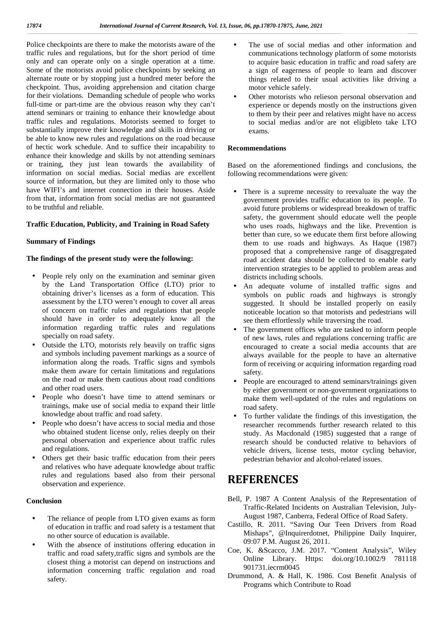Police checkpoints are there to make the motorists aware of the traffic rules and regulations, but for the short period of time only and can operate only on a single operation at a time. Some of the motorists avoid police checkpoints by seeking an alternate route or by stopping just a hundred meter before the checkpoint. Thus, avoiding apprehension and citation charge for their violations. Demanding schedule of people who works full-time or part-time are the obvious reason why they can't attend seminars or training to enhance their knowledge about traffic rules and regulations. Motorists seemed to forget to substantially improve their knowledge and skills in driving or be able to know new rules and regulations on the road because of hectic work schedule. And to suffice their incapability to enhance their knowledge and skills by not attending seminars or training, they just lean towards the availability of information on social medias. Social medias are excellent source of information, but they are limited only to those who have WIFI's and internet connection in their houses. Aside from that, information from social medias are not guaranteed to be truthful and reliable.

#### **Traffic Education, Publicity, and Training in Road Safety**

#### **Summary of Findings**

#### **The findings of the present study were the following:**

- People rely only on the examination and seminar given by the Land Transportation Office (LTO) prior to obtaining driver's licenses as a form of education. This assessment by the LTO weren't enough to cover all areas of concern on traffic rules and regulations that people should have in order to adequately know all the information regarding traffic rules and regulations specially on road safety.
- Outside the LTO, motorists rely heavily on traffic signs and symbols including pavement markings as a source of information along the roads. Traffic signs and symbols make them aware for certain limitations and regulations on the road or make them cautious about road conditions and other road users.
- People who doesn't have time to attend seminars or trainings, make use of social media to expand their little knowledge about traffic and road safety.
- People who doesn't have access to social media and those who obtained student license only, relies deeply on their personal observation and experience about traffic rules and regulations.
- Others get their basic traffic education from their peers and relatives who have adequate knowledge about traffic rules and regulations based also from their personal observation and experience.

#### **Conclusion**

- The reliance of people from LTO given exams as form of education in traffic and road safety is a testament that no other source of education is available.
- With the absence of institutions offering education in traffic and road safety,traffic signs and symbols are the closest thing a motorist can depend on instructions and information concerning traffic regulation and road safety.
- The use of social medias and other information and communications technology platform of some motorists to acquire basic education in traffic and road safety are a sign of eagerness of people to learn and discover things related to their usual activities like driving a motor vehicle safely.
- Other motorists who relieson personal observation and experience or depends mostly on the instructions given to them by their peer and relatives might have no access to social medias and/or are not eligibleto take LTO exams.

#### **Recommendations**

Based on the aforementioned findings and conclusions, the following recommendations were given:

- There is a supreme necessity to reevaluate the way the government provides traffic education to its people. To avoid future problems or widespread breakdown of traffic safety, the government should educate well the people who uses roads, highways and the like. Prevention is better than cure, so we educate them first before allowing them to use roads and highways. As Haque (1987) proposed that a comprehensive range of disaggregated road accident data should be collected to enable early intervention strategies to be applied to problem areas and districts including schools.
- An adequate volume of installed traffic signs and symbols on public roads and highways is strongly suggested. It should be installed properly on easily noticeable location so that motorists and pedestrians will see them effortlessly while traversing the road.
- The government offices who are tasked to inform people of new laws, rules and regulations concerning traffic are encouraged to create a social media accounts that are always available for the people to have an alternative form of receiving or acquiring information regarding road safety.
- People are encouraged to attend seminars/trainings given by either government or non-government organizations to make them well-updated of the rules and regulations on road safety.
- To further validate the findings of this investigation, the researcher recommends further research related to this study. As Macdonald (1985) suggested that a range of research should be conducted relative to behaviors of vehicle drivers, license tests, motor cycling behavior, pedestrian behavior and alcohol-related issues.

### **REFERENCES**

- Bell, P. 1987 A Content Analysis of the Representation of Traffic-Related Incidents on Australian Television, July- August 1987, Canberra, Federal Office of Road Safety.
- Castillo, R. 2011. "Saving Our Teen Drivers from Road Mishaps", @Inquirerdotnet, Philippine Daily Inquirer, 09:07 P.M. August 26, 2011.
- Coe, K. &Scacco, J.M. 2017. "Content Analysis", Wiley Online Library. Https: doi.org/10.1002/9 781118 901731.iecrm0045
- Drummond, A. & Hall, K. 1986. Cost Benefit Analysis of Programs which Contribute to Road